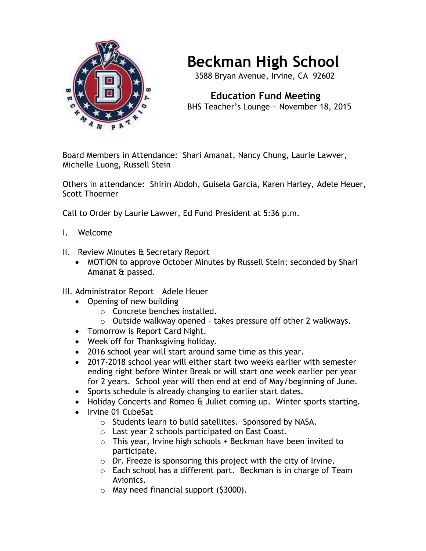

## **Beckman High School**

3588 Bryan Avenue, Irvine, CA 92602

 **Education Fund Meeting** BHS Teacher's Lounge ~ November 18, 2015

Board Members in Attendance: Shari Amanat, Nancy Chung, Laurie Lawver, Michelle Luong, Russell Stein

Others in attendance: Shirin Abdoh, Guisela Garcia, Karen Harley, Adele Heuer, Scott Thoerner

Call to Order by Laurie Lawver, Ed Fund President at 5:36 p.m.

- I. Welcome
- II. Review Minutes & Secretary Report
	- MOTION to approve October Minutes by Russell Stein; seconded by Shari Amanat & passed.
- III. Administrator Report Adele Heuer
	- Opening of new building
		- o Concrete benches installed.
		- o Outside walkway opened takes pressure off other 2 walkways.
	- Tomorrow is Report Card Night.
	- Week off for Thanksgiving holiday.
	- 2016 school year will start around same time as this year.
	- 2017-2018 school year will either start two weeks earlier with semester ending right before Winter Break or will start one week earlier per year for 2 years. School year will then end at end of May/beginning of June.
	- Sports schedule is already changing to earlier start dates.
	- Holiday Concerts and Romeo & Juliet coming up. Winter sports starting.
	- Irvine 01 CubeSat
		- o Students learn to build satellites. Sponsored by NASA.
		- o Last year 2 schools participated on East Coast.
		- $\circ$  This year, Irvine high schools + Beckman have been invited to participate.
		- o Dr. Freeze is sponsoring this project with the city of Irvine.
		- o Each school has a different part. Beckman is in charge of Team Avionics.
		- $\circ$  May need financial support (\$3000).